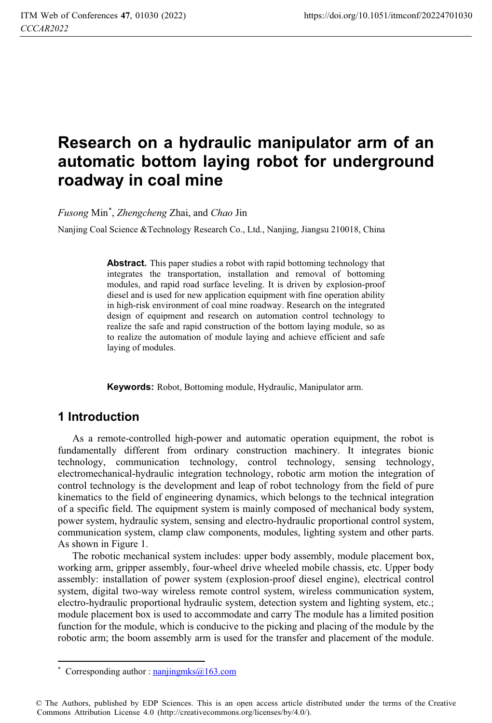# **Research on a hydraulic manipulator arm of an automatic bottom laying robot for underground roadway in coal mine**

*Fusong* Min\* , *Zhengcheng* Zhai, and *Chao* Jin

Nanjing Coal Science &Technology Research Co., Ltd., Nanjing, Jiangsu 210018, China

**Abstract.** This paper studies a robot with rapid bottoming technology that integrates the transportation, installation and removal of bottoming modules, and rapid road surface leveling. It is driven by explosion-proof diesel and is used for new application equipment with fine operation ability in high-risk environment of coal mine roadway. Research on the integrated design of equipment and research on automation control technology to realize the safe and rapid construction of the bottom laying module, so as to realize the automation of module laying and achieve efficient and safe laying of modules.

**Keywords:** Robot, Bottoming module, Hydraulic, Manipulator arm.

#### **1 Introduction**

As a remote-controlled high-power and automatic operation equipment, the robot is fundamentally different from ordinary construction machinery. It integrates bionic technology, communication technology, control technology, sensing technology, electromechanical-hydraulic integration technology, robotic arm motion the integration of control technology is the development and leap of robot technology from the field of pure kinematics to the field of engineering dynamics, which belongs to the technical integration of a specific field. The equipment system is mainly composed of mechanical body system, power system, hydraulic system, sensing and electro-hydraulic proportional control system, communication system, clamp claw components, modules, lighting system and other parts. As shown in Figure 1.

The robotic mechanical system includes: upper body assembly, module placement box, working arm, gripper assembly, four-wheel drive wheeled mobile chassis, etc. Upper body assembly: installation of power system (explosion-proof diesel engine), electrical control system, digital two-way wireless remote control system, wireless communication system, electro-hydraulic proportional hydraulic system, detection system and lighting system, etc.; module placement box is used to accommodate and carry The module has a limited position function for the module, which is conducive to the picking and placing of the module by the robotic arm; the boom assembly arm is used for the transfer and placement of the module.

 $\overline{a}$ \* Corresponding author :  $n_{\text{anjing} \text{mks}}(a)$  163.com

<sup>©</sup> The Authors, published by EDP Sciences. This is an open access article distributed under the terms of the Creative Commons Attribution License 4.0 (http://creativecommons.org/licenses/by/4.0/).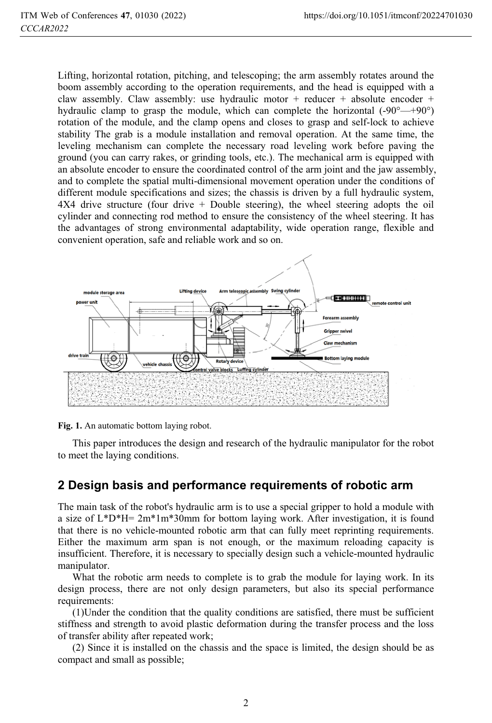Lifting, horizontal rotation, pitching, and telescoping; the arm assembly rotates around the boom assembly according to the operation requirements, and the head is equipped with a claw assembly. Claw assembly: use hydraulic motor + reducer + absolute encoder + hydraulic clamp to grasp the module, which can complete the horizontal  $(-90^{\circ} - +90^{\circ})$ rotation of the module, and the clamp opens and closes to grasp and self-lock to achieve stability The grab is a module installation and removal operation. At the same time, the leveling mechanism can complete the necessary road leveling work before paving the ground (you can carry rakes, or grinding tools, etc.). The mechanical arm is equipped with an absolute encoder to ensure the coordinated control of the arm joint and the jaw assembly, and to complete the spatial multi-dimensional movement operation under the conditions of different module specifications and sizes; the chassis is driven by a full hydraulic system, 4X4 drive structure (four drive + Double steering), the wheel steering adopts the oil cylinder and connecting rod method to ensure the consistency of the wheel steering. It has the advantages of strong environmental adaptability, wide operation range, flexible and convenient operation, safe and reliable work and so on.





This paper introduces the design and research of the hydraulic manipulator for the robot to meet the laying conditions.

### **2 Design basis and performance requirements of robotic arm**

The main task of the robot's hydraulic arm is to use a special gripper to hold a module with a size of  $L^*D^*H=2m^*1m^*30mm$  for bottom laying work. After investigation, it is found that there is no vehicle-mounted robotic arm that can fully meet reprinting requirements. Either the maximum arm span is not enough, or the maximum reloading capacity is insufficient. Therefore, it is necessary to specially design such a vehicle-mounted hydraulic manipulator.

What the robotic arm needs to complete is to grab the module for laying work. In its design process, there are not only design parameters, but also its special performance requirements:

(1)Under the condition that the quality conditions are satisfied, there must be sufficient stiffness and strength to avoid plastic deformation during the transfer process and the loss of transfer ability after repeated work;

(2) Since it is installed on the chassis and the space is limited, the design should be as compact and small as possible;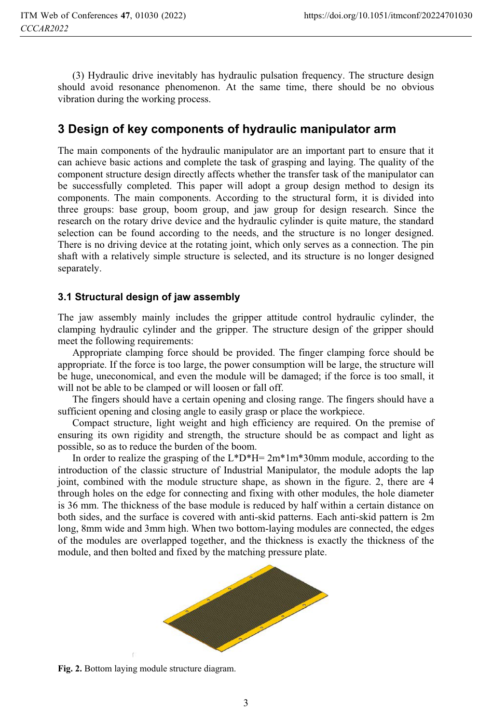(3) Hydraulic drive inevitably has hydraulic pulsation frequency. The structure design should avoid resonance phenomenon. At the same time, there should be no obvious vibration during the working process.

## **3 Design of key components of hydraulic manipulator arm**

The main components of the hydraulic manipulator are an important part to ensure that it can achieve basic actions and complete the task of grasping and laying. The quality of the component structure design directly affects whether the transfer task of the manipulator can be successfully completed. This paper will adopt a group design method to design its components. The main components. According to the structural form, it is divided into three groups: base group, boom group, and jaw group for design research. Since the research on the rotary drive device and the hydraulic cylinder is quite mature, the standard selection can be found according to the needs, and the structure is no longer designed. There is no driving device at the rotating joint, which only serves as a connection. The pin shaft with a relatively simple structure is selected, and its structure is no longer designed separately.

#### **3.1 Structural design of jaw assembly**

The jaw assembly mainly includes the gripper attitude control hydraulic cylinder, the clamping hydraulic cylinder and the gripper. The structure design of the gripper should meet the following requirements:

Appropriate clamping force should be provided. The finger clamping force should be appropriate. If the force is too large, the power consumption will be large, the structure will be huge, uneconomical, and even the module will be damaged; if the force is too small, it will not be able to be clamped or will loosen or fall off.

The fingers should have a certain opening and closing range. The fingers should have a sufficient opening and closing angle to easily grasp or place the workpiece.

Compact structure, light weight and high efficiency are required. On the premise of ensuring its own rigidity and strength, the structure should be as compact and light as possible, so as to reduce the burden of the boom.

In order to realize the grasping of the L\*D\*H= 2m\*1m\*30mm module, according to the introduction of the classic structure of Industrial Manipulator, the module adopts the lap joint, combined with the module structure shape, as shown in the figure. 2, there are 4 through holes on the edge for connecting and fixing with other modules, the hole diameter is 36 mm. The thickness of the base module is reduced by half within a certain distance on both sides, and the surface is covered with anti-skid patterns. Each anti-skid pattern is 2m long, 8mm wide and 3mm high. When two bottom-laying modules are connected, the edges of the modules are overlapped together, and the thickness is exactly the thickness of the module, and then bolted and fixed by the matching pressure plate.



**Fig. 2.** Bottom laying module structure diagram.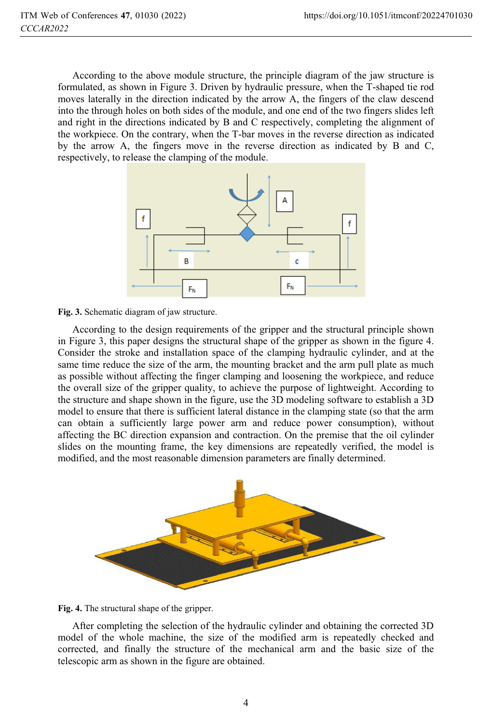According to the above module structure, the principle diagram of the jaw structure is formulated, as shown in Figure 3. Driven by hydraulic pressure, when the T-shaped tie rod moves laterally in the direction indicated by the arrow A, the fingers of the claw descend into the through holes on both sides of the module, and one end of the two fingers slides left and right in the directions indicated by B and C respectively, completing the alignment of the workpiece. On the contrary, when the T-bar moves in the reverse direction as indicated by the arrow A, the fingers move in the reverse direction as indicated by B and C, respectively, to release the clamping of the module.



**Fig. 3.** Schematic diagram of jaw structure.

According to the design requirements of the gripper and the structural principle shown in Figure 3, this paper designs the structural shape of the gripper as shown in the figure 4. Consider the stroke and installation space of the clamping hydraulic cylinder, and at the same time reduce the size of the arm, the mounting bracket and the arm pull plate as much as possible without affecting the finger clamping and loosening the workpiece, and reduce the overall size of the gripper quality, to achieve the purpose of lightweight. According to the structure and shape shown in the figure, use the 3D modeling software to establish a 3D model to ensure that there is sufficient lateral distance in the clamping state (so that the arm can obtain a sufficiently large power arm and reduce power consumption), without affecting the BC direction expansion and contraction. On the premise that the oil cylinder slides on the mounting frame, the key dimensions are repeatedly verified, the model is modified, and the most reasonable dimension parameters are finally determined.





After completing the selection of the hydraulic cylinder and obtaining the corrected 3D model of the whole machine, the size of the modified arm is repeatedly checked and corrected, and finally the structure of the mechanical arm and the basic size of the telescopic arm as shown in the figure are obtained.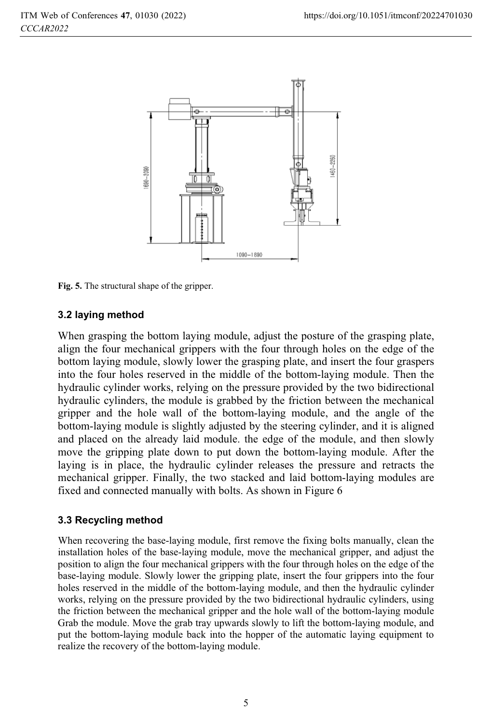

**Fig. 5.** The structural shape of the gripper.

#### **3.2 laying method**

When grasping the bottom laying module, adjust the posture of the grasping plate, align the four mechanical grippers with the four through holes on the edge of the bottom laying module, slowly lower the grasping plate, and insert the four graspers into the four holes reserved in the middle of the bottom-laying module. Then the hydraulic cylinder works, relying on the pressure provided by the two bidirectional hydraulic cylinders, the module is grabbed by the friction between the mechanical gripper and the hole wall of the bottom-laying module, and the angle of the bottom-laying module is slightly adjusted by the steering cylinder, and it is aligned and placed on the already laid module. the edge of the module, and then slowly move the gripping plate down to put down the bottom-laying module. After the laying is in place, the hydraulic cylinder releases the pressure and retracts the mechanical gripper. Finally, the two stacked and laid bottom-laying modules are fixed and connected manually with bolts. As shown in Figure 6

#### **3.3 Recycling method**

When recovering the base-laying module, first remove the fixing bolts manually, clean the installation holes of the base-laying module, move the mechanical gripper, and adjust the position to align the four mechanical grippers with the four through holes on the edge of the base-laying module. Slowly lower the gripping plate, insert the four grippers into the four holes reserved in the middle of the bottom-laying module, and then the hydraulic cylinder works, relying on the pressure provided by the two bidirectional hydraulic cylinders, using the friction between the mechanical gripper and the hole wall of the bottom-laying module Grab the module. Move the grab tray upwards slowly to lift the bottom-laying module, and put the bottom-laying module back into the hopper of the automatic laying equipment to realize the recovery of the bottom-laying module.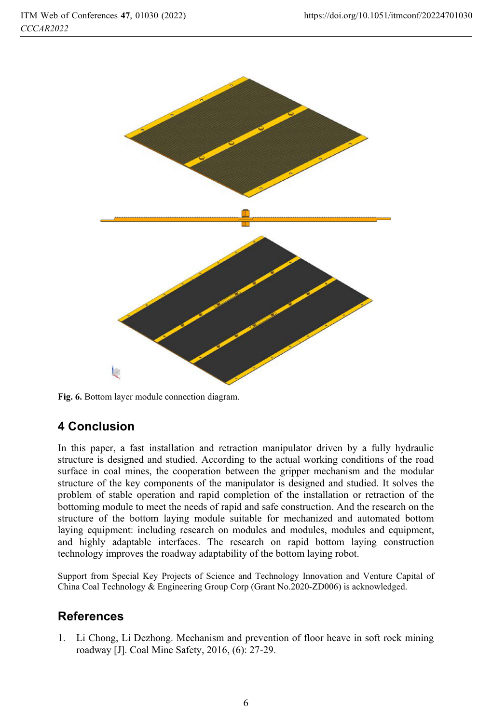

**Fig. 6.** Bottom layer module connection diagram.

# **4 Conclusion**

In this paper, a fast installation and retraction manipulator driven by a fully hydraulic structure is designed and studied. According to the actual working conditions of the road surface in coal mines, the cooperation between the gripper mechanism and the modular structure of the key components of the manipulator is designed and studied. It solves the problem of stable operation and rapid completion of the installation or retraction of the bottoming module to meet the needs of rapid and safe construction. And the research on the structure of the bottom laying module suitable for mechanized and automated bottom laying equipment: including research on modules and modules, modules and equipment, and highly adaptable interfaces. The research on rapid bottom laying construction technology improves the roadway adaptability of the bottom laying robot.

Support from Special Key Projects of Science and Technology Innovation and Venture Capital of China Coal Technology & Engineering Group Corp (Grant No.2020-ZD006) is acknowledged.

# **References**

1. Li Chong, Li Dezhong. Mechanism and prevention of floor heave in soft rock mining roadway [J]. Coal Mine Safety, 2016, (6): 27-29.